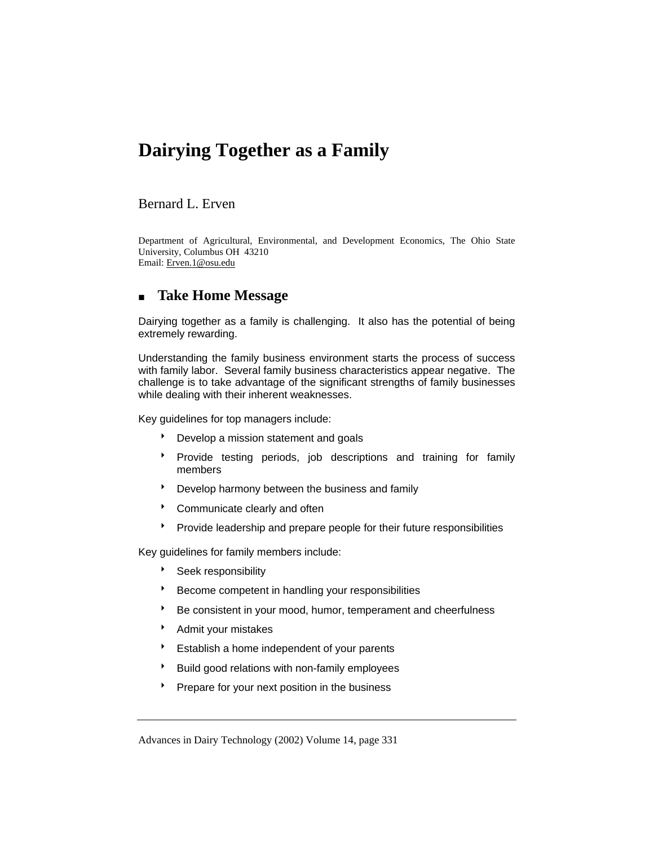# **Dairying Together as a Family**

### Bernard L. Erven

Department of Agricultural, Environmental, and Development Economics, The Ohio State University, Columbus OH 43210 Email: Erven.1@osu.edu

# **Take Home Message**

Dairying together as a family is challenging. It also has the potential of being extremely rewarding.

Understanding the family business environment starts the process of success with family labor. Several family business characteristics appear negative. The challenge is to take advantage of the significant strengths of family businesses while dealing with their inherent weaknesses.

Key guidelines for top managers include:

- **b** Develop a mission statement and goals
- **Provide testing periods, job descriptions and training for family** members
- **BED Develop harmony between the business and family**
- \* Communicate clearly and often
- **Provide leadership and prepare people for their future responsibilities**

Key guidelines for family members include:

- **BEEK** responsibility
- 8 Become competent in handling your responsibilities
- Be consistent in your mood, humor, temperament and cheerfulness
- **Admit your mistakes**
- **BE** Establish a home independent of your parents
- <sup>\*</sup> Build good relations with non-family employees
- Prepare for your next position in the business

Advances in Dairy Technology (2002) Volume 14, page 331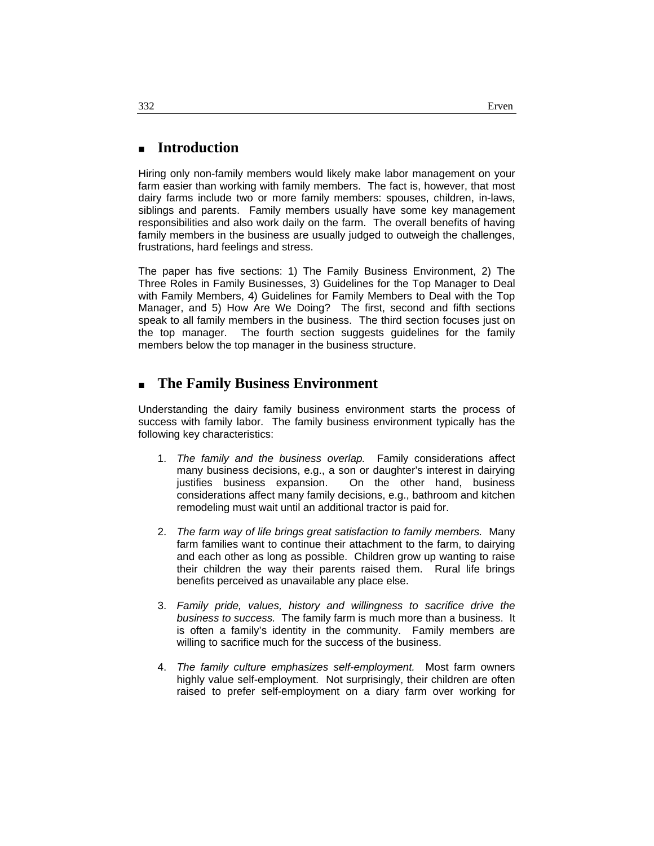# **Introduction**

Hiring only non-family members would likely make labor management on your farm easier than working with family members. The fact is, however, that most dairy farms include two or more family members: spouses, children, in-laws, siblings and parents. Family members usually have some key management responsibilities and also work daily on the farm. The overall benefits of having family members in the business are usually judged to outweigh the challenges, frustrations, hard feelings and stress.

The paper has five sections: 1) The Family Business Environment, 2) The Three Roles in Family Businesses, 3) Guidelines for the Top Manager to Deal with Family Members, 4) Guidelines for Family Members to Deal with the Top Manager, and 5) How Are We Doing? The first, second and fifth sections speak to all family members in the business. The third section focuses just on the top manager. The fourth section suggests guidelines for the family members below the top manager in the business structure.

# **The Family Business Environment**

Understanding the dairy family business environment starts the process of success with family labor. The family business environment typically has the following key characteristics:

- 1. *The family and the business overlap.* Family considerations affect many business decisions, e.g., a son or daughter's interest in dairying justifies business expansion. On the other hand, business considerations affect many family decisions, e.g., bathroom and kitchen remodeling must wait until an additional tractor is paid for.
- 2. *The farm way of life brings great satisfaction to family members.* Many farm families want to continue their attachment to the farm, to dairying and each other as long as possible. Children grow up wanting to raise their children the way their parents raised them. Rural life brings benefits perceived as unavailable any place else.
- 3. *Family pride, values, history and willingness to sacrifice drive the business to success.* The family farm is much more than a business. It is often a family's identity in the community. Family members are willing to sacrifice much for the success of the business.
- 4. *The family culture emphasizes self-employment.* Most farm owners highly value self-employment. Not surprisingly, their children are often raised to prefer self-employment on a diary farm over working for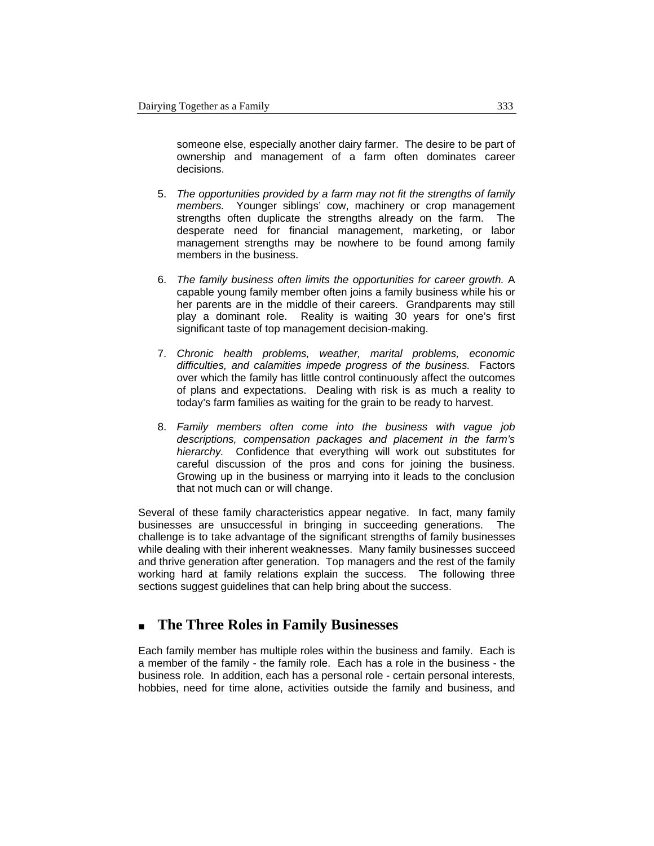someone else, especially another dairy farmer. The desire to be part of ownership and management of a farm often dominates career decisions.

- 5. *The opportunities provided by a farm may not fit the strengths of family members.* Younger siblings' cow, machinery or crop management strengths often duplicate the strengths already on the farm. The desperate need for financial management, marketing, or labor management strengths may be nowhere to be found among family members in the business.
- 6. *The family business often limits the opportunities for career growth.* A capable young family member often joins a family business while his or her parents are in the middle of their careers. Grandparents may still play a dominant role. Reality is waiting 30 years for one's first significant taste of top management decision-making.
- 7. *Chronic health problems, weather, marital problems, economic difficulties, and calamities impede progress of the business.* Factors over which the family has little control continuously affect the outcomes of plans and expectations. Dealing with risk is as much a reality to today's farm families as waiting for the grain to be ready to harvest.
- 8. *Family members often come into the business with vague job descriptions, compensation packages and placement in the farm's hierarchy.* Confidence that everything will work out substitutes for careful discussion of the pros and cons for joining the business. Growing up in the business or marrying into it leads to the conclusion that not much can or will change.

Several of these family characteristics appear negative. In fact, many family businesses are unsuccessful in bringing in succeeding generations. The challenge is to take advantage of the significant strengths of family businesses while dealing with their inherent weaknesses. Many family businesses succeed and thrive generation after generation. Top managers and the rest of the family working hard at family relations explain the success. The following three sections suggest guidelines that can help bring about the success.

# **The Three Roles in Family Businesses**

Each family member has multiple roles within the business and family. Each is a member of the family - the family role. Each has a role in the business - the business role. In addition, each has a personal role - certain personal interests, hobbies, need for time alone, activities outside the family and business, and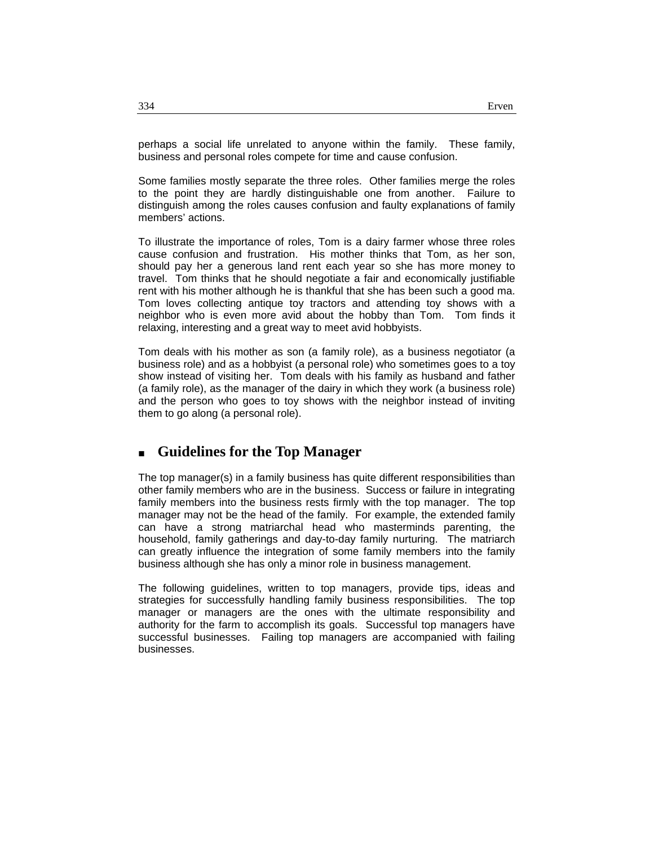perhaps a social life unrelated to anyone within the family. These family, business and personal roles compete for time and cause confusion.

Some families mostly separate the three roles. Other families merge the roles to the point they are hardly distinguishable one from another. Failure to distinguish among the roles causes confusion and faulty explanations of family members' actions.

To illustrate the importance of roles, Tom is a dairy farmer whose three roles cause confusion and frustration. His mother thinks that Tom, as her son, should pay her a generous land rent each year so she has more money to travel. Tom thinks that he should negotiate a fair and economically justifiable rent with his mother although he is thankful that she has been such a good ma. Tom loves collecting antique toy tractors and attending toy shows with a neighbor who is even more avid about the hobby than Tom. Tom finds it relaxing, interesting and a great way to meet avid hobbyists.

Tom deals with his mother as son (a family role), as a business negotiator (a business role) and as a hobbyist (a personal role) who sometimes goes to a toy show instead of visiting her. Tom deals with his family as husband and father (a family role), as the manager of the dairy in which they work (a business role) and the person who goes to toy shows with the neighbor instead of inviting them to go along (a personal role).

# **Guidelines for the Top Manager**

The top manager(s) in a family business has quite different responsibilities than other family members who are in the business. Success or failure in integrating family members into the business rests firmly with the top manager. The top manager may not be the head of the family. For example, the extended family can have a strong matriarchal head who masterminds parenting, the household, family gatherings and day-to-day family nurturing. The matriarch can greatly influence the integration of some family members into the family business although she has only a minor role in business management.

The following guidelines, written to top managers, provide tips, ideas and strategies for successfully handling family business responsibilities. The top manager or managers are the ones with the ultimate responsibility and authority for the farm to accomplish its goals. Successful top managers have successful businesses. Failing top managers are accompanied with failing businesses.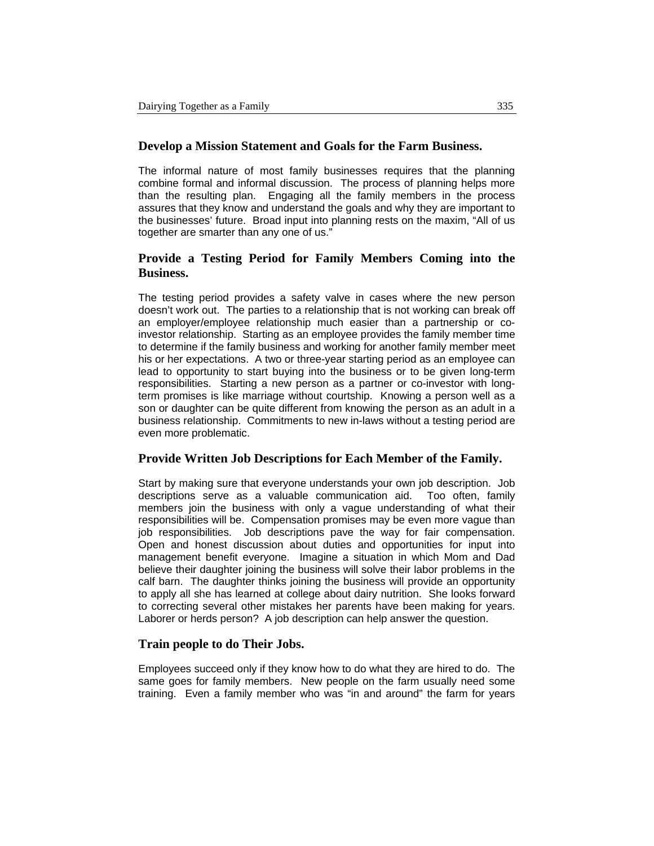#### **Develop a Mission Statement and Goals for the Farm Business.**

The informal nature of most family businesses requires that the planning combine formal and informal discussion. The process of planning helps more than the resulting plan. Engaging all the family members in the process assures that they know and understand the goals and why they are important to the businesses' future. Broad input into planning rests on the maxim, "All of us together are smarter than any one of us."

### **Provide a Testing Period for Family Members Coming into the Business.**

The testing period provides a safety valve in cases where the new person doesn't work out. The parties to a relationship that is not working can break off an employer/employee relationship much easier than a partnership or coinvestor relationship. Starting as an employee provides the family member time to determine if the family business and working for another family member meet his or her expectations. A two or three-year starting period as an employee can lead to opportunity to start buying into the business or to be given long-term responsibilities. Starting a new person as a partner or co-investor with longterm promises is like marriage without courtship. Knowing a person well as a son or daughter can be quite different from knowing the person as an adult in a business relationship. Commitments to new in-laws without a testing period are even more problematic.

#### **Provide Written Job Descriptions for Each Member of the Family.**

Start by making sure that everyone understands your own job description. Job descriptions serve as a valuable communication aid. Too often, family members join the business with only a vague understanding of what their responsibilities will be. Compensation promises may be even more vague than job responsibilities. Job descriptions pave the way for fair compensation. Open and honest discussion about duties and opportunities for input into management benefit everyone. Imagine a situation in which Mom and Dad believe their daughter joining the business will solve their labor problems in the calf barn. The daughter thinks joining the business will provide an opportunity to apply all she has learned at college about dairy nutrition. She looks forward to correcting several other mistakes her parents have been making for years. Laborer or herds person? A job description can help answer the question.

#### **Train people to do Their Jobs.**

Employees succeed only if they know how to do what they are hired to do. The same goes for family members. New people on the farm usually need some training. Even a family member who was "in and around" the farm for years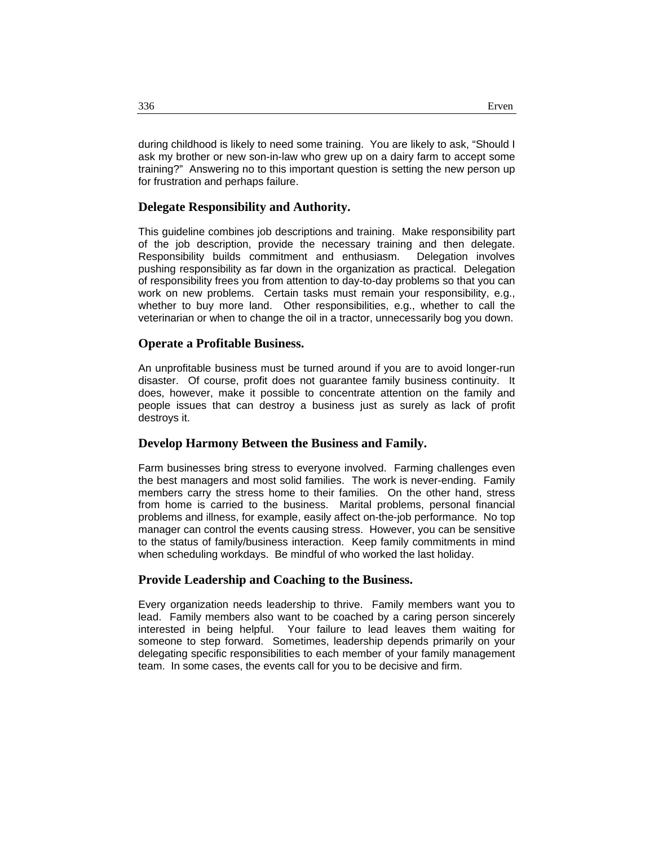during childhood is likely to need some training. You are likely to ask, "Should I ask my brother or new son-in-law who grew up on a dairy farm to accept some training?" Answering no to this important question is setting the new person up for frustration and perhaps failure.

#### **Delegate Responsibility and Authority.**

This guideline combines job descriptions and training. Make responsibility part of the job description, provide the necessary training and then delegate. Responsibility builds commitment and enthusiasm. Delegation involves pushing responsibility as far down in the organization as practical. Delegation of responsibility frees you from attention to day-to-day problems so that you can work on new problems. Certain tasks must remain your responsibility, e.g., whether to buy more land. Other responsibilities, e.g., whether to call the veterinarian or when to change the oil in a tractor, unnecessarily bog you down.

#### **Operate a Profitable Business.**

An unprofitable business must be turned around if you are to avoid longer-run disaster. Of course, profit does not guarantee family business continuity. It does, however, make it possible to concentrate attention on the family and people issues that can destroy a business just as surely as lack of profit destroys it.

#### **Develop Harmony Between the Business and Family.**

Farm businesses bring stress to everyone involved. Farming challenges even the best managers and most solid families. The work is never-ending. Family members carry the stress home to their families. On the other hand, stress from home is carried to the business. Marital problems, personal financial problems and illness, for example, easily affect on-the-job performance. No top manager can control the events causing stress. However, you can be sensitive to the status of family/business interaction. Keep family commitments in mind when scheduling workdays. Be mindful of who worked the last holiday.

#### **Provide Leadership and Coaching to the Business.**

Every organization needs leadership to thrive. Family members want you to lead. Family members also want to be coached by a caring person sincerely interested in being helpful. Your failure to lead leaves them waiting for someone to step forward. Sometimes, leadership depends primarily on your delegating specific responsibilities to each member of your family management team. In some cases, the events call for you to be decisive and firm.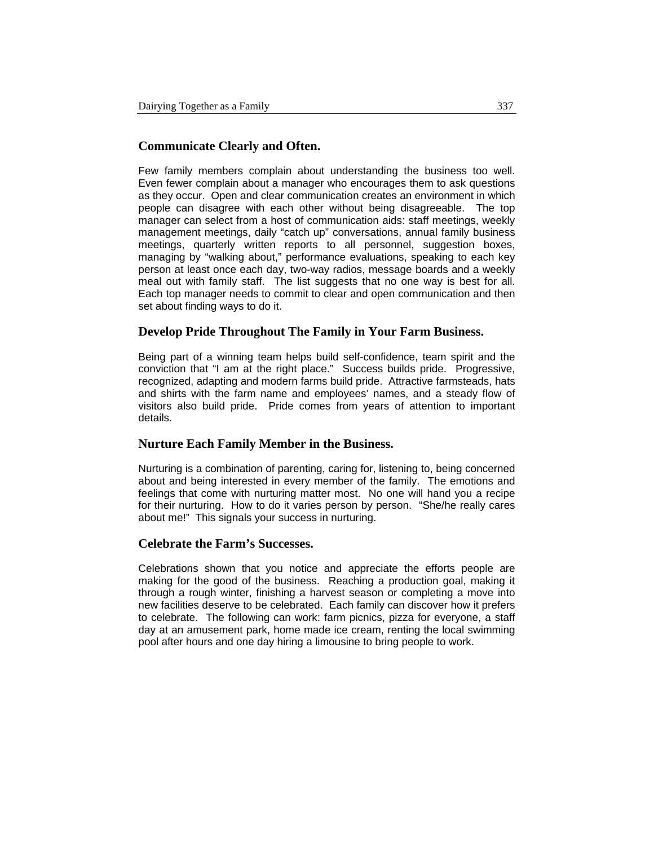### **Communicate Clearly and Often.**

Few family members complain about understanding the business too well. Even fewer complain about a manager who encourages them to ask questions as they occur. Open and clear communication creates an environment in which people can disagree with each other without being disagreeable. The top manager can select from a host of communication aids: staff meetings, weekly management meetings, daily "catch up" conversations, annual family business meetings, quarterly written reports to all personnel, suggestion boxes, managing by "walking about," performance evaluations, speaking to each key person at least once each day, two-way radios, message boards and a weekly meal out with family staff. The list suggests that no one way is best for all. Each top manager needs to commit to clear and open communication and then set about finding ways to do it.

#### **Develop Pride Throughout The Family in Your Farm Business.**

Being part of a winning team helps build self-confidence, team spirit and the conviction that "I am at the right place." Success builds pride. Progressive, recognized, adapting and modern farms build pride. Attractive farmsteads, hats and shirts with the farm name and employees' names, and a steady flow of visitors also build pride. Pride comes from years of attention to important details.

#### **Nurture Each Family Member in the Business.**

Nurturing is a combination of parenting, caring for, listening to, being concerned about and being interested in every member of the family. The emotions and feelings that come with nurturing matter most. No one will hand you a recipe for their nurturing. How to do it varies person by person. "She/he really cares about me!" This signals your success in nurturing.

#### **Celebrate the Farm's Successes.**

Celebrations shown that you notice and appreciate the efforts people are making for the good of the business. Reaching a production goal, making it through a rough winter, finishing a harvest season or completing a move into new facilities deserve to be celebrated. Each family can discover how it prefers to celebrate. The following can work: farm picnics, pizza for everyone, a staff day at an amusement park, home made ice cream, renting the local swimming pool after hours and one day hiring a limousine to bring people to work.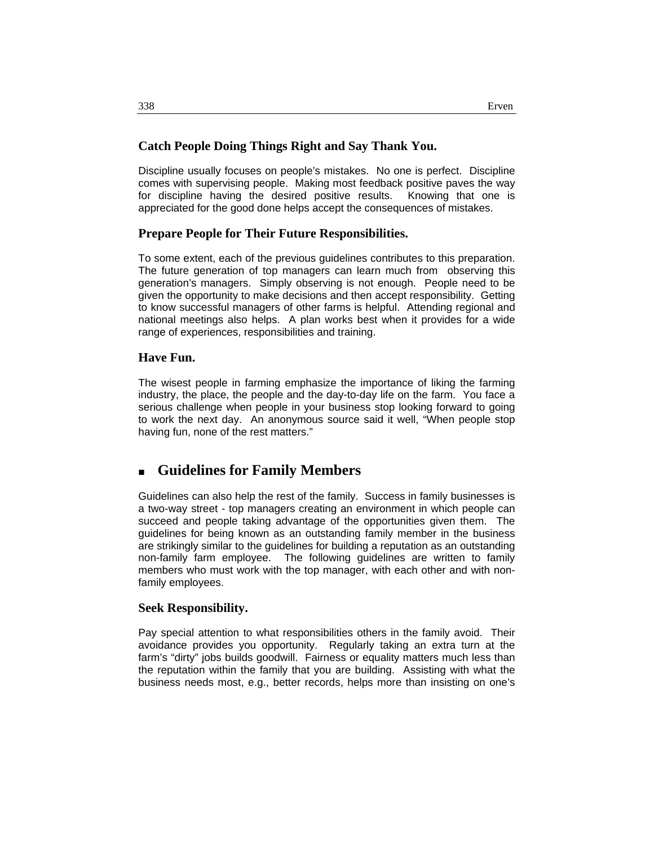#### **Catch People Doing Things Right and Say Thank You.**

Discipline usually focuses on people's mistakes. No one is perfect. Discipline comes with supervising people. Making most feedback positive paves the way for discipline having the desired positive results. Knowing that one is appreciated for the good done helps accept the consequences of mistakes.

#### **Prepare People for Their Future Responsibilities.**

To some extent, each of the previous guidelines contributes to this preparation. The future generation of top managers can learn much from observing this generation's managers. Simply observing is not enough. People need to be given the opportunity to make decisions and then accept responsibility. Getting to know successful managers of other farms is helpful. Attending regional and national meetings also helps. A plan works best when it provides for a wide range of experiences, responsibilities and training.

#### **Have Fun.**

The wisest people in farming emphasize the importance of liking the farming industry, the place, the people and the day-to-day life on the farm. You face a serious challenge when people in your business stop looking forward to going to work the next day. An anonymous source said it well, "When people stop having fun, none of the rest matters."

# **Guidelines for Family Members**

Guidelines can also help the rest of the family. Success in family businesses is a two-way street - top managers creating an environment in which people can succeed and people taking advantage of the opportunities given them. The guidelines for being known as an outstanding family member in the business are strikingly similar to the guidelines for building a reputation as an outstanding non-family farm employee. The following guidelines are written to family members who must work with the top manager, with each other and with nonfamily employees.

#### **Seek Responsibility.**

Pay special attention to what responsibilities others in the family avoid. Their avoidance provides you opportunity. Regularly taking an extra turn at the farm's "dirty" jobs builds goodwill. Fairness or equality matters much less than the reputation within the family that you are building. Assisting with what the business needs most, e.g., better records, helps more than insisting on one's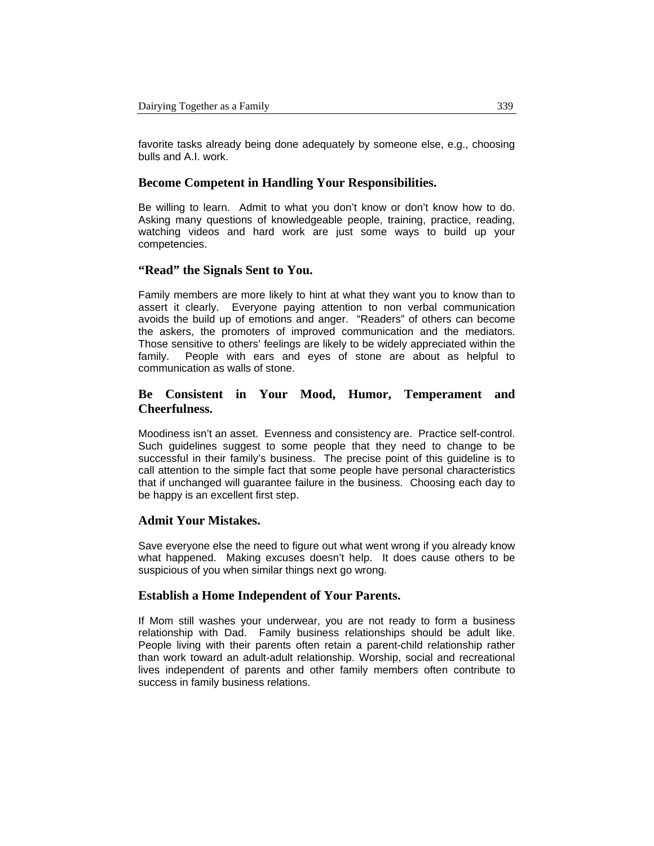favorite tasks already being done adequately by someone else, e.g., choosing bulls and A.I. work.

#### **Become Competent in Handling Your Responsibilities.**

Be willing to learn. Admit to what you don't know or don't know how to do. Asking many questions of knowledgeable people, training, practice, reading, watching videos and hard work are just some ways to build up your competencies.

#### **"Read" the Signals Sent to You.**

Family members are more likely to hint at what they want you to know than to assert it clearly. Everyone paying attention to non verbal communication avoids the build up of emotions and anger. "Readers" of others can become the askers, the promoters of improved communication and the mediators. Those sensitive to others' feelings are likely to be widely appreciated within the family. People with ears and eyes of stone are about as helpful to communication as walls of stone.

### **Be Consistent in Your Mood, Humor, Temperament and Cheerfulness.**

Moodiness isn't an asset. Evenness and consistency are. Practice self-control. Such guidelines suggest to some people that they need to change to be successful in their family's business. The precise point of this guideline is to call attention to the simple fact that some people have personal characteristics that if unchanged will guarantee failure in the business. Choosing each day to be happy is an excellent first step.

#### **Admit Your Mistakes.**

Save everyone else the need to figure out what went wrong if you already know what happened. Making excuses doesn't help. It does cause others to be suspicious of you when similar things next go wrong.

#### **Establish a Home Independent of Your Parents.**

If Mom still washes your underwear, you are not ready to form a business relationship with Dad. Family business relationships should be adult like. People living with their parents often retain a parent-child relationship rather than work toward an adult-adult relationship. Worship, social and recreational lives independent of parents and other family members often contribute to success in family business relations.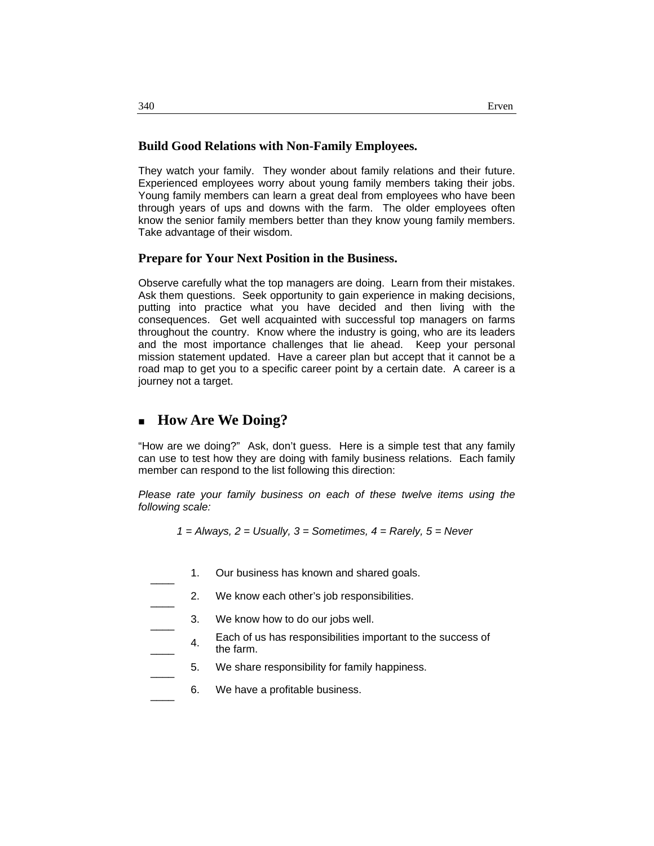#### **Build Good Relations with Non-Family Employees.**

They watch your family. They wonder about family relations and their future. Experienced employees worry about young family members taking their jobs. Young family members can learn a great deal from employees who have been through years of ups and downs with the farm. The older employees often know the senior family members better than they know young family members. Take advantage of their wisdom.

#### **Prepare for Your Next Position in the Business.**

Observe carefully what the top managers are doing. Learn from their mistakes. Ask them questions. Seek opportunity to gain experience in making decisions, putting into practice what you have decided and then living with the consequences. Get well acquainted with successful top managers on farms throughout the country. Know where the industry is going, who are its leaders and the most importance challenges that lie ahead. Keep your personal mission statement updated. Have a career plan but accept that it cannot be a road map to get you to a specific career point by a certain date. A career is a journey not a target.

# **How Are We Doing?**

"How are we doing?" Ask, don't guess. Here is a simple test that any family can use to test how they are doing with family business relations. Each family member can respond to the list following this direction:

*Please rate your family business on each of these twelve items using the following scale:*

*1 = Always, 2 = Usually, 3 = Sometimes, 4 = Rarely, 5 = Never* 

- 1. Our business has known and shared goals.
- 2. We know each other's job responsibilities.
- 3. We know how to do our jobs well.
	- **Each of us has responsibilities important to the success of** the farm.
- 5. We share responsibility for family happiness.
- 6. We have a profitable business.